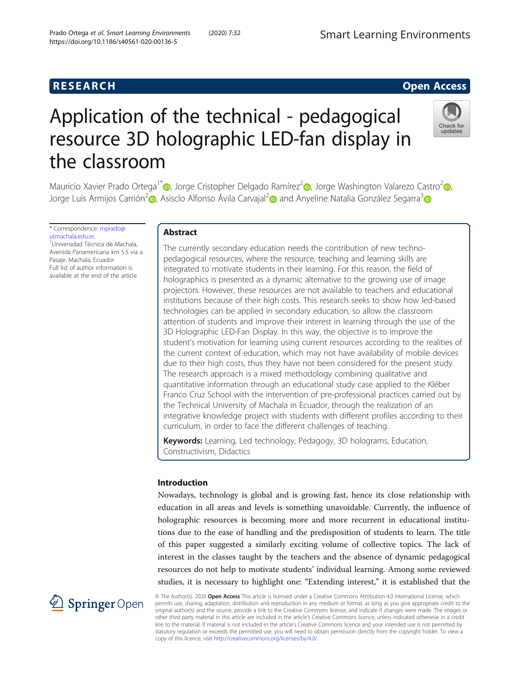# **RESEARCH RESEARCH CONSUMING ACCESS**

# Application of the technical - pedagogical resource 3D holographic LED-fan display in the classroom



Mauricio Xavier Prado Ortega<sup>1\*</sup> , Jorge Cristopher Delgado Ramírez<sup>[2](https://orcid.org/0000-0002-0123-4031)</sup> [,](https://orcid.org/0000-0002-8324-5905) Jorge Washington Valarezo Castro<sup>2</sup> , Jorge Luis Armijos Carrión<sup>[2](https://orcid.org/0000-0003-3531-1733)</sup> (a. Asisclo Alfonso Ávila Carvajal<sup>2</sup> and Anyeline Natalia González Segarra<sup>3</sup> (a.

\* Correspondence: [mprado@](mailto:mprado@utmachala.edu.ec) [utmachala.edu.ec](mailto:mprado@utmachala.edu.ec) <sup>1</sup>Universidad Técnica de Machala,

Avenida Panamericana km 5.5 via a Pasaje, Machala, Ecuador Full list of author information is available at the end of the article

# Abstract

The currently secondary education needs the contribution of new technopedagogical resources, where the resource, teaching and learning skills are integrated to motivate students in their learning. For this reason, the field of holographics is presented as a dynamic alternative to the growing use of image projectors. However, these resources are not available to teachers and educational institutions because of their high costs. This research seeks to show how led-based technologies can be applied in secondary education, so allow the classroom attention of students and improve their interest in learning through the use of the 3D Holographic LED-Fan Display. In this way, the objective is to improve the student's motivation for learning using current resources according to the realities of the current context of education, which may not have availability of mobile devices due to their high costs, thus they have not been considered for the present study. The research approach is a mixed methodology combining qualitative and quantitative information through an educational study case applied to the Kléber Franco Cruz School with the intervention of pre-professional practices carried out by the Technical University of Machala in Ecuador, through the realization of an integrative knowledge project with students with different profiles according to their curriculum, in order to face the different challenges of teaching.

Keywords: Learning, Led technology, Pedagogy, 3D holograms, Education, Constructivism, Didactics

# Introduction

Nowadays, technology is global and is growing fast, hence its close relationship with education in all areas and levels is something unavoidable. Currently, the influence of holographic resources is becoming more and more recurrent in educational institutions due to the ease of handling and the predisposition of students to learn. The title of this paper suggested a similarly exciting volume of collective topics. The lack of interest in the classes taught by the teachers and the absence of dynamic pedagogical resources do not help to motivate students' individual learning. Among some reviewed studies, it is necessary to highlight one: "Extending interest," it is established that the



© The Author(s). 2020 Open Access This article is licensed under a Creative Commons Attribution 4.0 International License, which permits use, sharing, adaptation, distribution and reproduction in any medium or format, as long as you give appropriate credit to the original author(s) and the source, provide a link to the Creative Commons licence, and indicate if changes were made. The images or other third party material in this article are included in the article's Creative Commons licence, unless indicated otherwise in a credit line to the material. If material is not included in the article's Creative Commons licence and your intended use is not permitted by statutory regulation or exceeds the permitted use, you will need to obtain permission directly from the copyright holder. To view a copy of this licence, visit <http://creativecommons.org/licenses/by/4.0/>.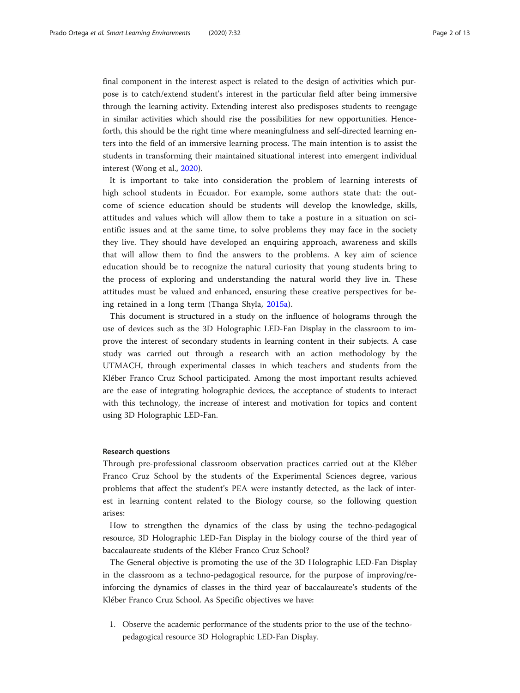final component in the interest aspect is related to the design of activities which purpose is to catch/extend student's interest in the particular field after being immersive through the learning activity. Extending interest also predisposes students to reengage in similar activities which should rise the possibilities for new opportunities. Henceforth, this should be the right time where meaningfulness and self-directed learning enters into the field of an immersive learning process. The main intention is to assist the students in transforming their maintained situational interest into emergent individual interest (Wong et al., [2020\)](#page-12-0).

It is important to take into consideration the problem of learning interests of high school students in Ecuador. For example, some authors state that: the outcome of science education should be students will develop the knowledge, skills, attitudes and values which will allow them to take a posture in a situation on scientific issues and at the same time, to solve problems they may face in the society they live. They should have developed an enquiring approach, awareness and skills that will allow them to find the answers to the problems. A key aim of science education should be to recognize the natural curiosity that young students bring to the process of exploring and understanding the natural world they live in. These attitudes must be valued and enhanced, ensuring these creative perspectives for being retained in a long term (Thanga Shyla, [2015a\)](#page-12-0).

This document is structured in a study on the influence of holograms through the use of devices such as the 3D Holographic LED-Fan Display in the classroom to improve the interest of secondary students in learning content in their subjects. A case study was carried out through a research with an action methodology by the UTMACH, through experimental classes in which teachers and students from the Kléber Franco Cruz School participated. Among the most important results achieved are the ease of integrating holographic devices, the acceptance of students to interact with this technology, the increase of interest and motivation for topics and content using 3D Holographic LED-Fan.

# Research questions

Through pre-professional classroom observation practices carried out at the Kléber Franco Cruz School by the students of the Experimental Sciences degree, various problems that affect the student's PEA were instantly detected, as the lack of interest in learning content related to the Biology course, so the following question arises:

How to strengthen the dynamics of the class by using the techno-pedagogical resource, 3D Holographic LED-Fan Display in the biology course of the third year of baccalaureate students of the Kléber Franco Cruz School?

The General objective is promoting the use of the 3D Holographic LED-Fan Display in the classroom as a techno-pedagogical resource, for the purpose of improving/reinforcing the dynamics of classes in the third year of baccalaureate's students of the Kléber Franco Cruz School. As Specific objectives we have:

1. Observe the academic performance of the students prior to the use of the technopedagogical resource 3D Holographic LED-Fan Display.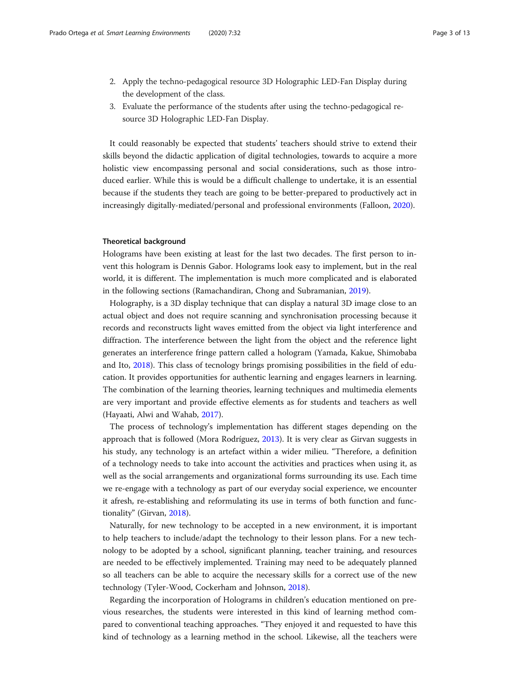- 2. Apply the techno-pedagogical resource 3D Holographic LED-Fan Display during the development of the class.
- 3. Evaluate the performance of the students after using the techno-pedagogical resource 3D Holographic LED-Fan Display.

It could reasonably be expected that students' teachers should strive to extend their skills beyond the didactic application of digital technologies, towards to acquire a more holistic view encompassing personal and social considerations, such as those introduced earlier. While this is would be a difficult challenge to undertake, it is an essential because if the students they teach are going to be better-prepared to productively act in increasingly digitally-mediated/personal and professional environments (Falloon, [2020](#page-12-0)).

# Theoretical background

Holograms have been existing at least for the last two decades. The first person to invent this hologram is Dennis Gabor. Holograms look easy to implement, but in the real world, it is different. The implementation is much more complicated and is elaborated in the following sections (Ramachandiran, Chong and Subramanian, [2019](#page-12-0)).

Holography, is a 3D display technique that can display a natural 3D image close to an actual object and does not require scanning and synchronisation processing because it records and reconstructs light waves emitted from the object via light interference and diffraction. The interference between the light from the object and the reference light generates an interference fringe pattern called a hologram (Yamada, Kakue, Shimobaba and Ito, [2018](#page-12-0)). This class of tecnology brings promising possibilities in the field of education. It provides opportunities for authentic learning and engages learners in learning. The combination of the learning theories, learning techniques and multimedia elements are very important and provide effective elements as for students and teachers as well (Hayaati, Alwi and Wahab, [2017](#page-12-0)).

The process of technology's implementation has different stages depending on the approach that is followed (Mora Rodríguez, [2013](#page-12-0)). It is very clear as Girvan suggests in his study, any technology is an artefact within a wider milieu. "Therefore, a definition of a technology needs to take into account the activities and practices when using it, as well as the social arrangements and organizational forms surrounding its use. Each time we re-engage with a technology as part of our everyday social experience, we encounter it afresh, re-establishing and reformulating its use in terms of both function and functionality" (Girvan, [2018](#page-12-0)).

Naturally, for new technology to be accepted in a new environment, it is important to help teachers to include/adapt the technology to their lesson plans. For a new technology to be adopted by a school, significant planning, teacher training, and resources are needed to be effectively implemented. Training may need to be adequately planned so all teachers can be able to acquire the necessary skills for a correct use of the new technology (Tyler-Wood, Cockerham and Johnson, [2018\)](#page-12-0).

Regarding the incorporation of Holograms in children's education mentioned on previous researches, the students were interested in this kind of learning method compared to conventional teaching approaches. "They enjoyed it and requested to have this kind of technology as a learning method in the school. Likewise, all the teachers were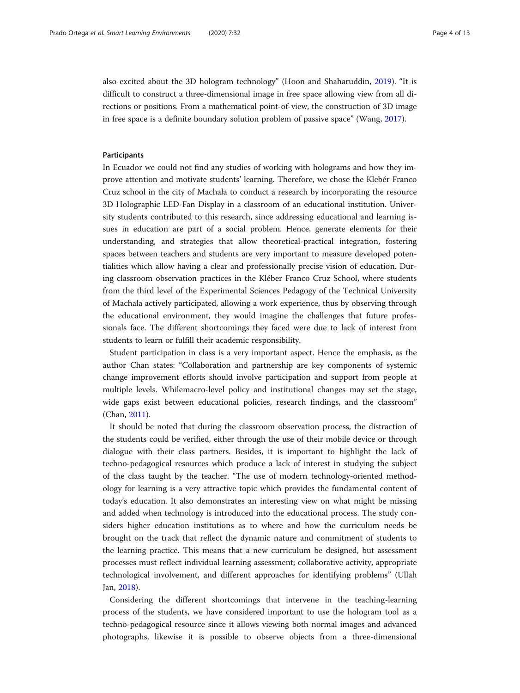also excited about the 3D hologram technology" (Hoon and Shaharuddin, [2019\)](#page-12-0). "It is difficult to construct a three-dimensional image in free space allowing view from all directions or positions. From a mathematical point-of-view, the construction of 3D image in free space is a definite boundary solution problem of passive space" (Wang, [2017](#page-12-0)).

# Participants

In Ecuador we could not find any studies of working with holograms and how they improve attention and motivate students' learning. Therefore, we chose the Klebér Franco Cruz school in the city of Machala to conduct a research by incorporating the resource 3D Holographic LED-Fan Display in a classroom of an educational institution. University students contributed to this research, since addressing educational and learning issues in education are part of a social problem. Hence, generate elements for their understanding, and strategies that allow theoretical-practical integration, fostering spaces between teachers and students are very important to measure developed potentialities which allow having a clear and professionally precise vision of education. During classroom observation practices in the Kléber Franco Cruz School, where students from the third level of the Experimental Sciences Pedagogy of the Technical University of Machala actively participated, allowing a work experience, thus by observing through the educational environment, they would imagine the challenges that future professionals face. The different shortcomings they faced were due to lack of interest from students to learn or fulfill their academic responsibility.

Student participation in class is a very important aspect. Hence the emphasis, as the author Chan states: "Collaboration and partnership are key components of systemic change improvement efforts should involve participation and support from people at multiple levels. Whilemacro-level policy and institutional changes may set the stage, wide gaps exist between educational policies, research findings, and the classroom" (Chan, [2011](#page-12-0)).

It should be noted that during the classroom observation process, the distraction of the students could be verified, either through the use of their mobile device or through dialogue with their class partners. Besides, it is important to highlight the lack of techno-pedagogical resources which produce a lack of interest in studying the subject of the class taught by the teacher. "The use of modern technology-oriented methodology for learning is a very attractive topic which provides the fundamental content of today's education. It also demonstrates an interesting view on what might be missing and added when technology is introduced into the educational process. The study considers higher education institutions as to where and how the curriculum needs be brought on the track that reflect the dynamic nature and commitment of students to the learning practice. This means that a new curriculum be designed, but assessment processes must reflect individual learning assessment; collaborative activity, appropriate technological involvement, and different approaches for identifying problems" (Ullah Jan, [2018](#page-12-0)).

Considering the different shortcomings that intervene in the teaching-learning process of the students, we have considered important to use the hologram tool as a techno-pedagogical resource since it allows viewing both normal images and advanced photographs, likewise it is possible to observe objects from a three-dimensional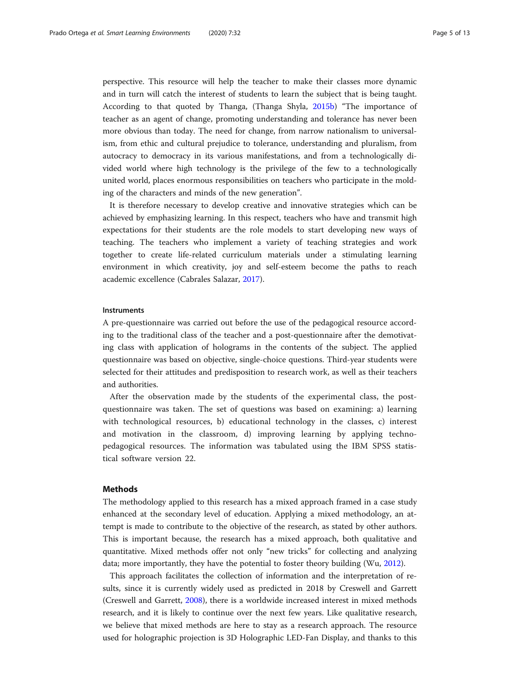perspective. This resource will help the teacher to make their classes more dynamic and in turn will catch the interest of students to learn the subject that is being taught. According to that quoted by Thanga, (Thanga Shyla, [2015b](#page-12-0)) "The importance of teacher as an agent of change, promoting understanding and tolerance has never been more obvious than today. The need for change, from narrow nationalism to universalism, from ethic and cultural prejudice to tolerance, understanding and pluralism, from autocracy to democracy in its various manifestations, and from a technologically divided world where high technology is the privilege of the few to a technologically united world, places enormous responsibilities on teachers who participate in the molding of the characters and minds of the new generation".

It is therefore necessary to develop creative and innovative strategies which can be achieved by emphasizing learning. In this respect, teachers who have and transmit high expectations for their students are the role models to start developing new ways of teaching. The teachers who implement a variety of teaching strategies and work together to create life-related curriculum materials under a stimulating learning environment in which creativity, joy and self-esteem become the paths to reach academic excellence (Cabrales Salazar, [2017\)](#page-12-0).

# Instruments

A pre-questionnaire was carried out before the use of the pedagogical resource according to the traditional class of the teacher and a post-questionnaire after the demotivating class with application of holograms in the contents of the subject. The applied questionnaire was based on objective, single-choice questions. Third-year students were selected for their attitudes and predisposition to research work, as well as their teachers and authorities.

After the observation made by the students of the experimental class, the postquestionnaire was taken. The set of questions was based on examining: a) learning with technological resources, b) educational technology in the classes, c) interest and motivation in the classroom, d) improving learning by applying technopedagogical resources. The information was tabulated using the IBM SPSS statistical software version 22.

# Methods

The methodology applied to this research has a mixed approach framed in a case study enhanced at the secondary level of education. Applying a mixed methodology, an attempt is made to contribute to the objective of the research, as stated by other authors. This is important because, the research has a mixed approach, both qualitative and quantitative. Mixed methods offer not only "new tricks" for collecting and analyzing data; more importantly, they have the potential to foster theory building (Wu, [2012](#page-12-0)).

This approach facilitates the collection of information and the interpretation of results, since it is currently widely used as predicted in 2018 by Creswell and Garrett (Creswell and Garrett, [2008\)](#page-12-0), there is a worldwide increased interest in mixed methods research, and it is likely to continue over the next few years. Like qualitative research, we believe that mixed methods are here to stay as a research approach. The resource used for holographic projection is 3D Holographic LED-Fan Display, and thanks to this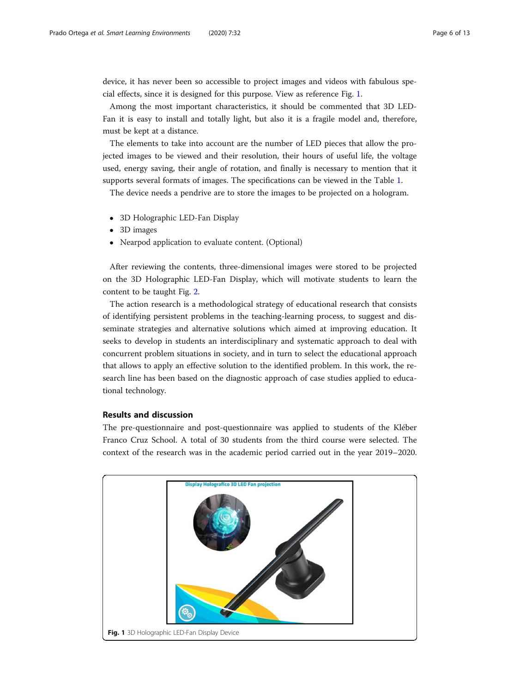device, it has never been so accessible to project images and videos with fabulous special effects, since it is designed for this purpose. View as reference Fig. 1.

Among the most important characteristics, it should be commented that 3D LED-Fan it is easy to install and totally light, but also it is a fragile model and, therefore, must be kept at a distance.

The elements to take into account are the number of LED pieces that allow the projected images to be viewed and their resolution, their hours of useful life, the voltage used, energy saving, their angle of rotation, and finally is necessary to mention that it supports several formats of images. The specifications can be viewed in the Table [1](#page-6-0).

The device needs a pendrive are to store the images to be projected on a hologram.

- 3D Holographic LED-Fan Display
- 3D images
- Nearpod application to evaluate content. (Optional)

After reviewing the contents, three-dimensional images were stored to be projected on the 3D Holographic LED-Fan Display, which will motivate students to learn the content to be taught Fig. [2.](#page-6-0)

The action research is a methodological strategy of educational research that consists of identifying persistent problems in the teaching-learning process, to suggest and disseminate strategies and alternative solutions which aimed at improving education. It seeks to develop in students an interdisciplinary and systematic approach to deal with concurrent problem situations in society, and in turn to select the educational approach that allows to apply an effective solution to the identified problem. In this work, the research line has been based on the diagnostic approach of case studies applied to educational technology.

# Results and discussion

The pre-questionnaire and post-questionnaire was applied to students of the Kléber Franco Cruz School. A total of 30 students from the third course were selected. The context of the research was in the academic period carried out in the year 2019–2020.

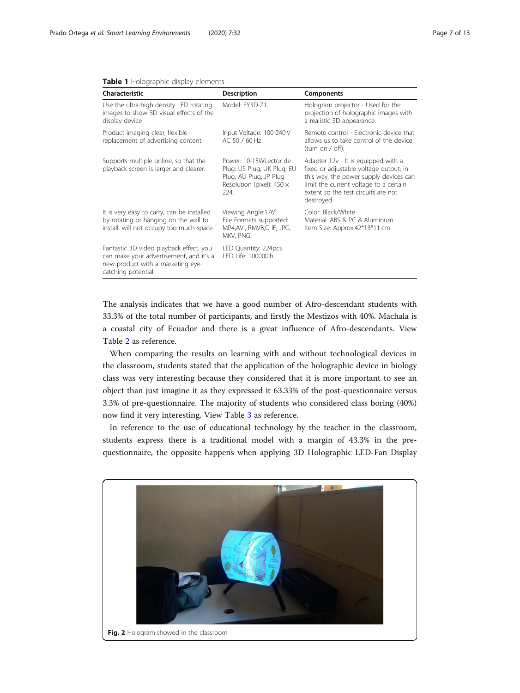# <span id="page-6-0"></span>Table 1 Holographic display elements

| Characteristic                                                                                                                                | <b>Description</b>                                                                                                          | Components                                                                                                                                                                                                            |
|-----------------------------------------------------------------------------------------------------------------------------------------------|-----------------------------------------------------------------------------------------------------------------------------|-----------------------------------------------------------------------------------------------------------------------------------------------------------------------------------------------------------------------|
| Use the ultra-high density LED rotating<br>images to show 3D visual effects of the<br>display device                                          | Model: FY3D-Z1.                                                                                                             | Hologram projector - Used for the<br>projection of holographic images with<br>a realistic 3D appearance.                                                                                                              |
| Product imaging clear, flexible<br>replacement of advertising content.                                                                        | Input Voltage: 100-240 V<br>AC 50 / 60 Hz                                                                                   | Remote control - Electronic device that<br>allows us to take control of the device<br>(turn on / off).                                                                                                                |
| Supports multiple online, so that the<br>playback screen is larger and clearer.                                                               | Power: 10-15WI ector de<br>Plug: US Plug, UK Plug, EU<br>Plug, AU Plug, JP Plug<br>Resolution (pixel): $450 \times$<br>224. | Adapter 12v - It is equipped with a<br>fixed or adjustable voltage output; in<br>this way, the power supply devices can<br>limit the current voltage to a certain<br>extent so the test circuits are not<br>destroyed |
| It is very easy to carry, can be installed<br>by rotating or hanging on the wall to<br>install, will not occupy too much space.               | Viewing Angle:176°.<br>File Formats supported:<br>MP4,AVI, RMVB,G IF, JPG,<br>MKV, PNG                                      | Color: Black/White<br>Material: ABS & PC & Aluminum<br>Item Size: Approx.42*13*11 cm                                                                                                                                  |
| Fantastic 3D video playback effect, you<br>can make your advertisement, and it's a<br>new product with a marketing eye-<br>catching potential | LED Quantity: 224pcs<br>LED Life: 100000 h                                                                                  |                                                                                                                                                                                                                       |

The analysis indicates that we have a good number of Afro-descendant students with 33.3% of the total number of participants, and firstly the Mestizos with 40%. Machala is a coastal city of Ecuador and there is a great influence of Afro-descendants. View Table [2](#page-7-0) as reference.

When comparing the results on learning with and without technological devices in the classroom, students stated that the application of the holographic device in biology class was very interesting because they considered that it is more important to see an object than just imagine it as they expressed it 63.33% of the post-questionnaire versus 3.3% of pre-questionnaire. The majority of students who considered class boring (40%) now find it very interesting. View Table [3](#page-7-0) as reference.

In reference to the use of educational technology by the teacher in the classroom, students express there is a traditional model with a margin of 43.3% in the prequestionnaire, the opposite happens when applying 3D Holographic LED-Fan Display

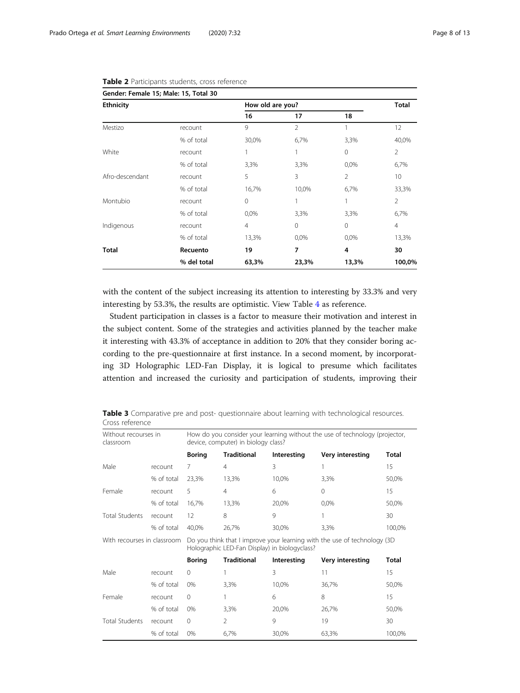| Gender: Female 15; Male: 15, Total 30 |             |                  |                |              |                |
|---------------------------------------|-------------|------------------|----------------|--------------|----------------|
| <b>Ethnicity</b>                      |             | How old are you? | <b>Total</b>   |              |                |
|                                       |             | 16               | 17             | 18           |                |
| Mestizo                               | recount     | 9                | $\overline{2}$ |              | 12             |
|                                       | % of total  | 30,0%            | 6,7%           | 3,3%         | 40,0%          |
| White                                 | recount     |                  |                | $\mathbf{0}$ | $\overline{2}$ |
|                                       | % of total  | 3,3%             | 3,3%           | 0,0%         | 6,7%           |
| Afro-descendant                       | recount     | 5                | 3              | 2            | 10             |
|                                       | % of total  | 16,7%            | 10,0%          | 6,7%         | 33,3%          |
| Montubio                              | recount     | $\mathbf{0}$     | 1              |              | $\overline{2}$ |
|                                       | % of total  | 0,0%             | 3,3%           | 3,3%         | 6,7%           |
| Indigenous                            | recount     | $\overline{4}$   | $\mathbf{0}$   | $\mathbf{0}$ | $\overline{4}$ |
|                                       | % of total  | 13,3%            | 0,0%           | 0,0%         | 13,3%          |
| <b>Total</b>                          | Recuento    | 19               | 7              | 4            | 30             |
|                                       | % del total | 63,3%            | 23,3%          | 13,3%        | 100,0%         |

# <span id="page-7-0"></span>Table 2 Participants students, cross reference

with the content of the subject increasing its attention to interesting by 33.3% and very interesting by 53.3%, the results are optimistic. View Table [4](#page-8-0) as reference.

Student participation in classes is a factor to measure their motivation and interest in the subject content. Some of the strategies and activities planned by the teacher make it interesting with 43.3% of acceptance in addition to 20% that they consider boring according to the pre-questionnaire at first instance. In a second moment, by incorporating 3D Holographic LED-Fan Display, it is logical to presume which facilitates attention and increased the curiosity and participation of students, improving their

| Table 3 Comparative pre and post- questionnaire about learning with technological resources |  |  |  |
|---------------------------------------------------------------------------------------------|--|--|--|
| Cross reference                                                                             |  |  |  |

| Without recourses in<br>classroom |            | How do you consider your learning without the use of technology (projector,<br>device, computer) in biology class?         |                    |             |                  |              |  |  |
|-----------------------------------|------------|----------------------------------------------------------------------------------------------------------------------------|--------------------|-------------|------------------|--------------|--|--|
|                                   |            | <b>Boring</b>                                                                                                              | <b>Traditional</b> | Interesting | Very interesting | <b>Total</b> |  |  |
| Male                              | recount    | $\overline{7}$                                                                                                             | 4                  | 3           | 1                | 15           |  |  |
|                                   | % of total | 23,3%                                                                                                                      | 13,3%              | 10,0%       | 3,3%             | 50,0%        |  |  |
| Female                            | recount    | 5                                                                                                                          | $\overline{4}$     | 6           | $\Omega$         | 15           |  |  |
|                                   | % of total | 16,7%                                                                                                                      | 13,3%              | 20,0%       | 0,0%             | 50,0%        |  |  |
| <b>Total Students</b>             | recount    | 12                                                                                                                         | 8                  | 9           |                  | 30           |  |  |
|                                   | % of total | 40,0%                                                                                                                      | 26,7%              | 30,0%       | 3,3%             | 100,0%       |  |  |
| With recourses in classroom       |            | Do you think that I improve your learning with the use of technology (3D)<br>Holographic LED-Fan Display) in biologyclass? |                    |             |                  |              |  |  |
|                                   |            | <b>Boring</b>                                                                                                              | <b>Traditional</b> | Interesting | Very interesting | <b>Total</b> |  |  |
| Male                              | recount    | $\Omega$                                                                                                                   |                    | 3           | 11               | 15           |  |  |
|                                   | % of total | 0%                                                                                                                         | 3,3%               | 10,0%       | 36,7%            | 50,0%        |  |  |
| Female                            | recount    | $\Omega$                                                                                                                   |                    | 6           | 8                | 15           |  |  |
|                                   | % of total | 0%                                                                                                                         | 3,3%               | 20,0%       | 26,7%            | 50,0%        |  |  |
| <b>Total Students</b>             | recount    | $\Omega$                                                                                                                   | $\mathfrak{D}$     | 9           | 19               | 30           |  |  |
|                                   | % of total | 0%                                                                                                                         | 6,7%               | 30,0%       | 63.3%            | 100,0%       |  |  |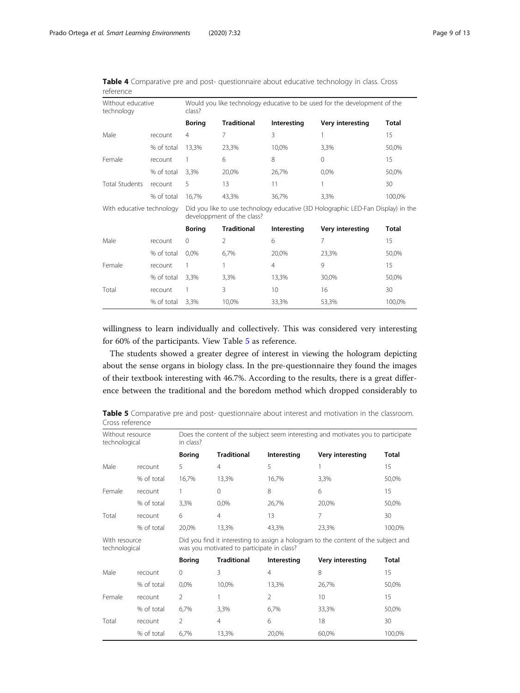<span id="page-8-0"></span>

| <b>Table 4</b> Comparative pre and post- questionnaire about educative technology in class. Cross |  |  |
|---------------------------------------------------------------------------------------------------|--|--|
| reference                                                                                         |  |  |

| Without educative<br>technology |            | Would you like technology educative to be used for the development of the<br>class?                            |                    |                |                  |              |  |  |
|---------------------------------|------------|----------------------------------------------------------------------------------------------------------------|--------------------|----------------|------------------|--------------|--|--|
|                                 |            | <b>Boring</b>                                                                                                  | <b>Traditional</b> | Interesting    | Very interesting | Total        |  |  |
| Male                            | recount    | $\overline{4}$                                                                                                 | 7                  | 3              |                  | 15           |  |  |
|                                 | % of total | 13,3%                                                                                                          | 23,3%              | 10,0%          | 3,3%             | 50,0%        |  |  |
| Female                          | recount    | 1                                                                                                              | 6                  | 8              | $\Omega$         | 15           |  |  |
|                                 | % of total | 3,3%                                                                                                           | 20,0%              | 26,7%          | 0,0%             | 50,0%        |  |  |
| <b>Total Students</b>           | recount    | 5                                                                                                              | 13                 | 11             | $\mathbf{1}$     | 30           |  |  |
|                                 | % of total | 16,7%                                                                                                          | 43,3%              | 36,7%          | 3,3%             | 100,0%       |  |  |
| With educative technology       |            | Did you like to use technology educative (3D Holographic LED-Fan Display) in the<br>developpment of the class? |                    |                |                  |              |  |  |
|                                 |            |                                                                                                                |                    |                |                  |              |  |  |
|                                 |            | <b>Boring</b>                                                                                                  | <b>Traditional</b> | Interesting    | Very interesting | <b>Total</b> |  |  |
| Male                            | recount    | $\circ$                                                                                                        | 2                  | 6              | 7                | 15           |  |  |
|                                 | % of total | 0,0%                                                                                                           | 6,7%               | 20,0%          | 23,3%            | 50,0%        |  |  |
| Female                          | recount    | 1                                                                                                              | 1                  | $\overline{4}$ | 9                | 15           |  |  |
|                                 | % of total | 3,3%                                                                                                           | 3,3%               | 13,3%          | 30,0%            | 50,0%        |  |  |
| Total                           | recount    | 1                                                                                                              | 3                  | 10             | 16               | 30           |  |  |

willingness to learn individually and collectively. This was considered very interesting for 60% of the participants. View Table 5 as reference.

The students showed a greater degree of interest in viewing the hologram depicting about the sense organs in biology class. In the pre-questionnaire they found the images of their textbook interesting with 46.7%. According to the results, there is a great difference between the traditional and the boredom method which dropped considerably to

Table 5 Comparative pre and post- questionnaire about interest and motivation in the classroom. Cross reference

| Without resource<br>technological |            | Does the content of the subject seem interesting and motivates you to participate<br>in class?                                   |                    |                |                  |        |  |  |
|-----------------------------------|------------|----------------------------------------------------------------------------------------------------------------------------------|--------------------|----------------|------------------|--------|--|--|
|                                   |            | Boring                                                                                                                           | <b>Traditional</b> | Interesting    | Very interesting | Total  |  |  |
| Male                              | recount    | 5                                                                                                                                | $\overline{4}$     | 5              | 1                | 15     |  |  |
|                                   | % of total | 16,7%                                                                                                                            | 13,3%              | 16,7%          | 3,3%             | 50,0%  |  |  |
| Female                            | recount    | 1                                                                                                                                | $\Omega$           | 8              | 6                | 15     |  |  |
|                                   | % of total | 3,3%                                                                                                                             | 0,0%               | 26,7%          | 20,0%            | 50,0%  |  |  |
| Total                             | recount    | 6                                                                                                                                | $\overline{4}$     | 13             | $\overline{7}$   | 30     |  |  |
|                                   | % of total | 20,0%                                                                                                                            | 13,3%              | 43,3%          | 23,3%            | 100,0% |  |  |
| With resource<br>technological    |            | Did you find it interesting to assign a hologram to the content of the subject and<br>was you motivated to participate in class? |                    |                |                  |        |  |  |
|                                   |            | Boring                                                                                                                           | <b>Traditional</b> | Interesting    | Very interesting | Total  |  |  |
| Male                              | recount    | 0                                                                                                                                | 3                  | $\overline{4}$ | 8                | 15     |  |  |
|                                   | % of total | 0,0%                                                                                                                             | 10,0%              | 13,3%          | 26,7%            | 50,0%  |  |  |
| Female                            | recount    | $\mathcal{P}$                                                                                                                    | 1                  | $\overline{2}$ | 10 <sup>°</sup>  | 15     |  |  |
|                                   | % of total | 6,7%                                                                                                                             | 3,3%               | 6,7%           | 33,3%            | 50,0%  |  |  |
| Total                             | recount    | $\mathcal{P}$                                                                                                                    | $\overline{4}$     | 6              | 18               | 30     |  |  |
|                                   | % of total | 6,7%                                                                                                                             | 13,3%              | 20,0%          | 60,0%            | 100,0% |  |  |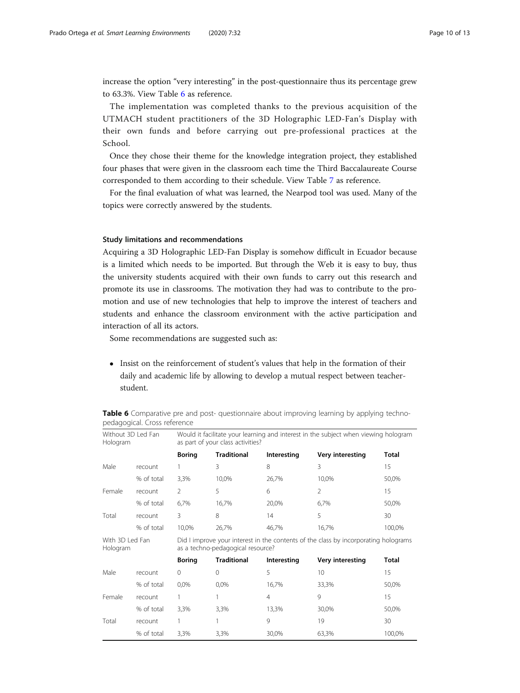increase the option "very interesting" in the post-questionnaire thus its percentage grew to 63.3%. View Table 6 as reference.

The implementation was completed thanks to the previous acquisition of the UTMACH student practitioners of the 3D Holographic LED-Fan's Display with their own funds and before carrying out pre-professional practices at the School.

Once they chose their theme for the knowledge integration project, they established four phases that were given in the classroom each time the Third Baccalaureate Course corresponded to them according to their schedule. View Table [7](#page-10-0) as reference.

For the final evaluation of what was learned, the Nearpod tool was used. Many of the topics were correctly answered by the students.

# Study limitations and recommendations

Acquiring a 3D Holographic LED-Fan Display is somehow difficult in Ecuador because is a limited which needs to be imported. But through the Web it is easy to buy, thus the university students acquired with their own funds to carry out this research and promote its use in classrooms. The motivation they had was to contribute to the promotion and use of new technologies that help to improve the interest of teachers and students and enhance the classroom environment with the active participation and interaction of all its actors.

Some recommendations are suggested such as:

 Insist on the reinforcement of student's values that help in the formation of their daily and academic life by allowing to develop a mutual respect between teacherstudent.

| Hologram                    | Without 3D Led Fan | Would it facilitate your learning and interest in the subject when viewing hologram<br>as part of your class activities? |                    |                                                                                                                                                                                                                     |                  |              |  |  |  |
|-----------------------------|--------------------|--------------------------------------------------------------------------------------------------------------------------|--------------------|---------------------------------------------------------------------------------------------------------------------------------------------------------------------------------------------------------------------|------------------|--------------|--|--|--|
|                             |                    | <b>Boring</b>                                                                                                            | <b>Traditional</b> | Interesting                                                                                                                                                                                                         | Very interesting | Total        |  |  |  |
| Male                        | recount            | 1                                                                                                                        | 3                  | 8                                                                                                                                                                                                                   | 3                | 15           |  |  |  |
|                             | % of total         | 3,3%                                                                                                                     | 10,0%              | 26,7%                                                                                                                                                                                                               | 10,0%            | 50,0%        |  |  |  |
| Female                      | recount            | 2                                                                                                                        | 5                  | $\overline{2}$<br>6<br>15<br>6,7%<br>20,0%<br>5<br>14<br>30<br>46,7%<br>16,7%<br>Interesting<br>Very interesting<br>5<br>10<br>15<br>16,7%<br>33,3%<br>9<br>15<br>$\overline{4}$<br>13,3%<br>30,0%<br>9<br>19<br>30 |                  |              |  |  |  |
|                             | % of total         | 6,7%                                                                                                                     | 16,7%              |                                                                                                                                                                                                                     |                  | 50,0%        |  |  |  |
| Total                       | recount            | 3                                                                                                                        | 8                  |                                                                                                                                                                                                                     |                  |              |  |  |  |
|                             | % of total         | 10,0%                                                                                                                    | 26,7%              |                                                                                                                                                                                                                     |                  | 100,0%       |  |  |  |
| With 3D Led Fan<br>Hologram |                    | Did I improve your interest in the contents of the class by incorporating holograms<br>as a techno-pedagogical resource? |                    |                                                                                                                                                                                                                     |                  |              |  |  |  |
|                             |                    | <b>Boring</b>                                                                                                            | <b>Traditional</b> |                                                                                                                                                                                                                     |                  | <b>Total</b> |  |  |  |
| Male                        | recount            | $\mathbf 0$                                                                                                              | $\mathbf{0}$       |                                                                                                                                                                                                                     |                  |              |  |  |  |
|                             | % of total         | 0.0%                                                                                                                     | 0,0%               |                                                                                                                                                                                                                     |                  | 50,0%        |  |  |  |
| Female                      | recount            | 1                                                                                                                        |                    |                                                                                                                                                                                                                     |                  |              |  |  |  |
|                             | % of total         | 3,3%                                                                                                                     | 3,3%               |                                                                                                                                                                                                                     |                  | 50,0%        |  |  |  |
| Total                       | recount            | 1                                                                                                                        |                    |                                                                                                                                                                                                                     |                  |              |  |  |  |
|                             | % of total         | 3,3%                                                                                                                     | 3,3%               | 30,0%                                                                                                                                                                                                               | 63,3%            | 100,0%       |  |  |  |

| <b>Table 6</b> Comparative pre and post-questionnaire about improving learning by applying techno- |  |  |  |  |
|----------------------------------------------------------------------------------------------------|--|--|--|--|
| pedagogical. Cross reference                                                                       |  |  |  |  |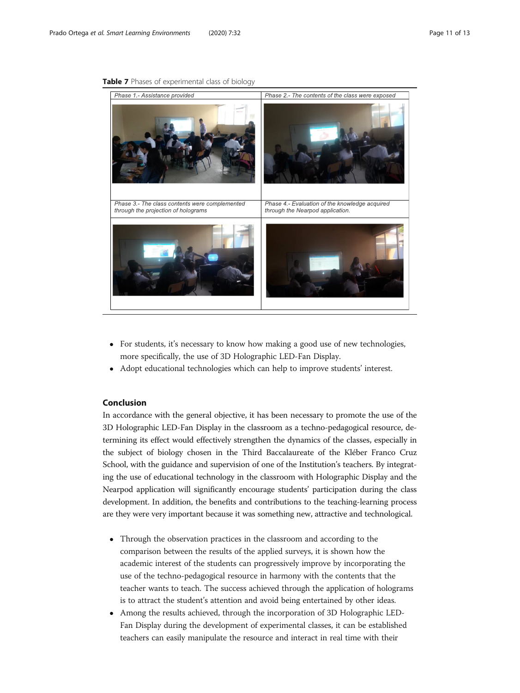<span id="page-10-0"></span>

Table 7 Phases of experimental class of biology

- For students, it's necessary to know how making a good use of new technologies, more specifically, the use of 3D Holographic LED-Fan Display.
- Adopt educational technologies which can help to improve students' interest.

# Conclusion

In accordance with the general objective, it has been necessary to promote the use of the 3D Holographic LED-Fan Display in the classroom as a techno-pedagogical resource, determining its effect would effectively strengthen the dynamics of the classes, especially in the subject of biology chosen in the Third Baccalaureate of the Kléber Franco Cruz School, with the guidance and supervision of one of the Institution's teachers. By integrating the use of educational technology in the classroom with Holographic Display and the Nearpod application will significantly encourage students' participation during the class development. In addition, the benefits and contributions to the teaching-learning process are they were very important because it was something new, attractive and technological.

- Through the observation practices in the classroom and according to the comparison between the results of the applied surveys, it is shown how the academic interest of the students can progressively improve by incorporating the use of the techno-pedagogical resource in harmony with the contents that the teacher wants to teach. The success achieved through the application of holograms is to attract the student's attention and avoid being entertained by other ideas.
- Among the results achieved, through the incorporation of 3D Holographic LED-Fan Display during the development of experimental classes, it can be established teachers can easily manipulate the resource and interact in real time with their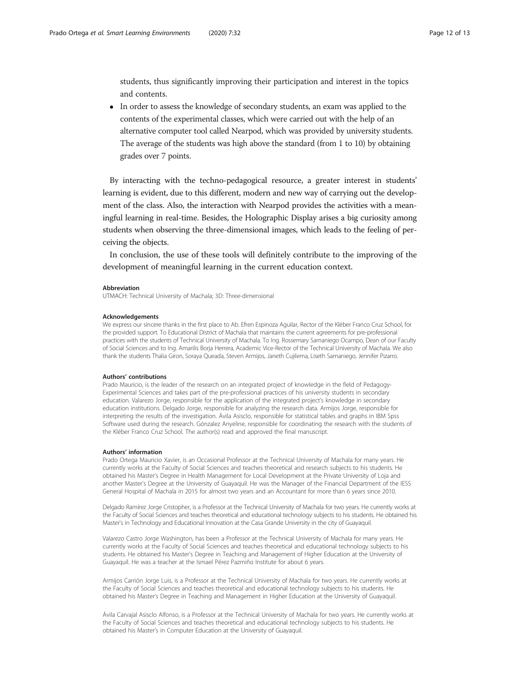students, thus significantly improving their participation and interest in the topics and contents.

 In order to assess the knowledge of secondary students, an exam was applied to the contents of the experimental classes, which were carried out with the help of an alternative computer tool called Nearpod, which was provided by university students. The average of the students was high above the standard (from 1 to 10) by obtaining grades over 7 points.

By interacting with the techno-pedagogical resource, a greater interest in students' learning is evident, due to this different, modern and new way of carrying out the development of the class. Also, the interaction with Nearpod provides the activities with a meaningful learning in real-time. Besides, the Holographic Display arises a big curiosity among students when observing the three-dimensional images, which leads to the feeling of perceiving the objects.

In conclusion, the use of these tools will definitely contribute to the improving of the development of meaningful learning in the current education context.

### Abbreviation

UTMACH: Technical University of Machala; 3D: Three-dimensional

#### Acknowledgements

We express our sincere thanks in the first place to Ab. Efren Espinoza Aguilar, Rector of the Kléber Franco Cruz School, for the provided support. To Educational District of Machala that maintains the current agreements for pre-professional practices with the students of Technical University of Machala. To Ing. Rossemary Samaniego Ocampo, Dean of our Faculty of Social Sciences and to Ing. Amarilis Borja Herrera, Academic Vice-Rector of the Technical University of Machala. We also thank the students Thalia Giron, Soraya Queada, Steven Armijos, Janeth Cujilema, Liseth Samaniego, Jennifer Pizarro.

# Authors' contributions

Prado Mauricio, is the leader of the research on an integrated project of knowledge in the field of Pedagogy-Experimental Sciences and takes part of the pre-professional practices of his university students in secondary education. Valarezo Jorge, responsible for the application of the integrated project's knowledge in secondary education institutions. Delgado Jorge, responsible for analyzing the research data. Armijos Jorge, responsible for interpreting the results of the investigation. Ávila Asisclo, responsible for statistical tables and graphs in IBM Spss Software used during the research. Gónzalez Anyeline, responsible for coordinating the research with the students of the Kléber Franco Cruz School. The author(s) read and approved the final manuscript.

# Authors' information

Prado Ortega Mauricio Xavier, is an Occasional Professor at the Technical University of Machala for many years. He currently works at the Faculty of Social Sciences and teaches theoretical and research subjects to his students. He obtained his Master's Degree in Health Management for Local Development at the Private University of Loja and another Master's Degree at the University of Guayaquil. He was the Manager of the Financial Department of the IESS General Hospital of Machala in 2015 for almost two years and an Accountant for more than 6 years since 2010.

Delgado Ramírez Jorge Cristopher, is a Professor at the Technical University of Machala for two years. He currently works at the Faculty of Social Sciences and teaches theoretical and educational technology subjects to his students. He obtained his Master's in Technology and Educational Innovation at the Casa Grande University in the city of Guayaquil.

Valarezo Castro Jorge Washington, has been a Professor at the Technical University of Machala for many years. He currently works at the Faculty of Social Sciences and teaches theoretical and educational technology subjects to his students. He obtained his Master's Degree in Teaching and Management of Higher Education at the University of Guayaquil. He was a teacher at the Ismael Pérez Pazmiño Institute for about 6 years.

Armijos Carrión Jorge Luis, is a Professor at the Technical University of Machala for two years. He currently works at the Faculty of Social Sciences and teaches theoretical and educational technology subjects to his students. He obtained his Master's Degree in Teaching and Management in Higher Education at the University of Guayaquil.

Ávila Carvajal Asisclo Alfonso, is a Professor at the Technical University of Machala for two years. He currently works at the Faculty of Social Sciences and teaches theoretical and educational technology subjects to his students. He obtained his Master's in Computer Education at the University of Guayaquil.